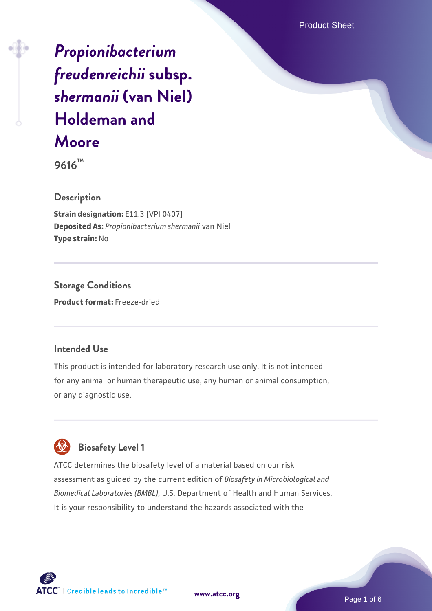Product Sheet

# *[Propionibacterium](https://www.atcc.org/products/9616) [freudenreichii](https://www.atcc.org/products/9616)* **[subsp.](https://www.atcc.org/products/9616)** *[shermanii](https://www.atcc.org/products/9616)* **[\(van Niel\)](https://www.atcc.org/products/9616) [Holdeman and](https://www.atcc.org/products/9616) [Moore](https://www.atcc.org/products/9616)**

**9616™**

## **Description**

**Strain designation: E11.3 [VPI 0407] Deposited As:** *Propionibacterium shermanii* van Niel **Type strain:** No

**Storage Conditions Product format:** Freeze-dried

## **Intended Use**

This product is intended for laboratory research use only. It is not intended for any animal or human therapeutic use, any human or animal consumption, or any diagnostic use.



ATCC determines the biosafety level of a material based on our risk assessment as guided by the current edition of *Biosafety in Microbiological and Biomedical Laboratories (BMBL)*, U.S. Department of Health and Human Services. It is your responsibility to understand the hazards associated with the



**[www.atcc.org](http://www.atcc.org)**

Page 1 of 6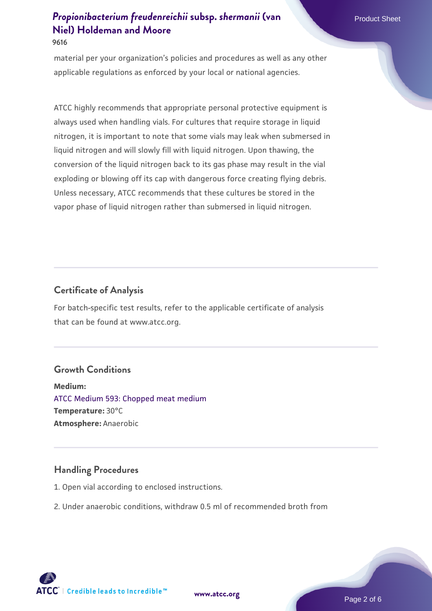material per your organization's policies and procedures as well as any other applicable regulations as enforced by your local or national agencies.

ATCC highly recommends that appropriate personal protective equipment is always used when handling vials. For cultures that require storage in liquid nitrogen, it is important to note that some vials may leak when submersed in liquid nitrogen and will slowly fill with liquid nitrogen. Upon thawing, the conversion of the liquid nitrogen back to its gas phase may result in the vial exploding or blowing off its cap with dangerous force creating flying debris. Unless necessary, ATCC recommends that these cultures be stored in the vapor phase of liquid nitrogen rather than submersed in liquid nitrogen.

## **Certificate of Analysis**

For batch-specific test results, refer to the applicable certificate of analysis that can be found at www.atcc.org.

#### **Growth Conditions**

**Medium:**  [ATCC Medium 593: Chopped meat medium](https://www.atcc.org/-/media/product-assets/documents/microbial-media-formulations/5/9/3/atcc-medium-593.pdf?rev=1fc1cb3d64ef4c5a9bab5620074af996) **Temperature:** 30°C **Atmosphere:** Anaerobic

## **Handling Procedures**

- 1. Open vial according to enclosed instructions.
- 2. Under anaerobic conditions, withdraw 0.5 ml of recommended broth from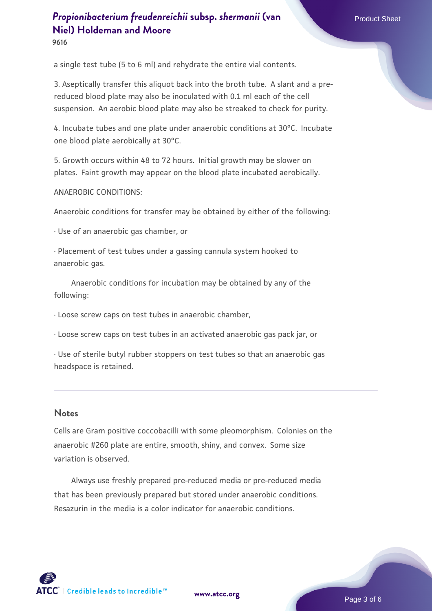a single test tube (5 to 6 ml) and rehydrate the entire vial contents.

3. Aseptically transfer this aliquot back into the broth tube. A slant and a prereduced blood plate may also be inoculated with 0.1 ml each of the cell suspension. An aerobic blood plate may also be streaked to check for purity.

4. Incubate tubes and one plate under anaerobic conditions at 30°C. Incubate one blood plate aerobically at 30°C.

5. Growth occurs within 48 to 72 hours. Initial growth may be slower on plates. Faint growth may appear on the blood plate incubated aerobically.

ANAEROBIC CONDITIONS:

Anaerobic conditions for transfer may be obtained by either of the following:

· Use of an anaerobic gas chamber, or

· Placement of test tubes under a gassing cannula system hooked to anaerobic gas.

 Anaerobic conditions for incubation may be obtained by any of the following:

· Loose screw caps on test tubes in anaerobic chamber,

· Loose screw caps on test tubes in an activated anaerobic gas pack jar, or

· Use of sterile butyl rubber stoppers on test tubes so that an anaerobic gas headspace is retained.

#### **Notes**

Cells are Gram positive coccobacilli with some pleomorphism. Colonies on the anaerobic #260 plate are entire, smooth, shiny, and convex. Some size variation is observed.

 Always use freshly prepared pre-reduced media or pre-reduced media that has been previously prepared but stored under anaerobic conditions. Resazurin in the media is a color indicator for anaerobic conditions.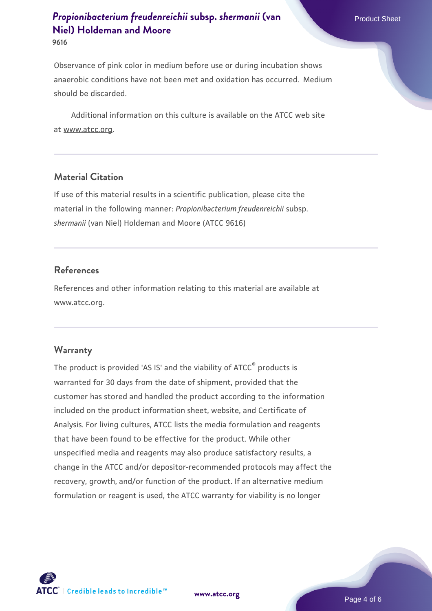Observance of pink color in medium before use or during incubation shows anaerobic conditions have not been met and oxidation has occurred. Medium should be discarded.

 Additional information on this culture is available on the ATCC web site at www.atcc.org.

## **Material Citation**

If use of this material results in a scientific publication, please cite the material in the following manner: *Propionibacterium freudenreichii* subsp. *shermanii* (van Niel) Holdeman and Moore (ATCC 9616)

## **References**

References and other information relating to this material are available at www.atcc.org.

#### **Warranty**

The product is provided 'AS IS' and the viability of ATCC® products is warranted for 30 days from the date of shipment, provided that the customer has stored and handled the product according to the information included on the product information sheet, website, and Certificate of Analysis. For living cultures, ATCC lists the media formulation and reagents that have been found to be effective for the product. While other unspecified media and reagents may also produce satisfactory results, a change in the ATCC and/or depositor-recommended protocols may affect the recovery, growth, and/or function of the product. If an alternative medium formulation or reagent is used, the ATCC warranty for viability is no longer



**[www.atcc.org](http://www.atcc.org)**

Page 4 of 6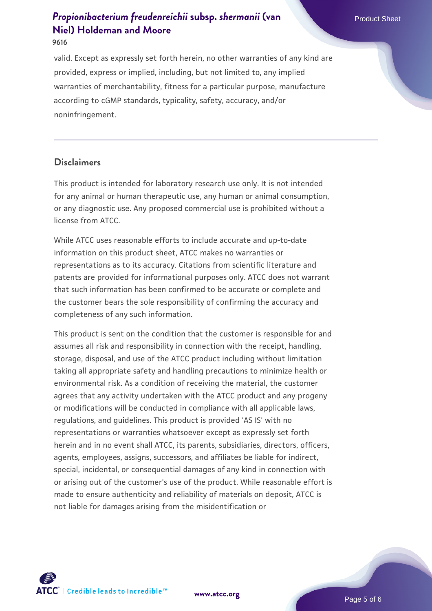valid. Except as expressly set forth herein, no other warranties of any kind are provided, express or implied, including, but not limited to, any implied warranties of merchantability, fitness for a particular purpose, manufacture according to cGMP standards, typicality, safety, accuracy, and/or noninfringement.

#### **Disclaimers**

This product is intended for laboratory research use only. It is not intended for any animal or human therapeutic use, any human or animal consumption, or any diagnostic use. Any proposed commercial use is prohibited without a license from ATCC.

While ATCC uses reasonable efforts to include accurate and up-to-date information on this product sheet, ATCC makes no warranties or representations as to its accuracy. Citations from scientific literature and patents are provided for informational purposes only. ATCC does not warrant that such information has been confirmed to be accurate or complete and the customer bears the sole responsibility of confirming the accuracy and completeness of any such information.

This product is sent on the condition that the customer is responsible for and assumes all risk and responsibility in connection with the receipt, handling, storage, disposal, and use of the ATCC product including without limitation taking all appropriate safety and handling precautions to minimize health or environmental risk. As a condition of receiving the material, the customer agrees that any activity undertaken with the ATCC product and any progeny or modifications will be conducted in compliance with all applicable laws, regulations, and guidelines. This product is provided 'AS IS' with no representations or warranties whatsoever except as expressly set forth herein and in no event shall ATCC, its parents, subsidiaries, directors, officers, agents, employees, assigns, successors, and affiliates be liable for indirect, special, incidental, or consequential damages of any kind in connection with or arising out of the customer's use of the product. While reasonable effort is made to ensure authenticity and reliability of materials on deposit, ATCC is not liable for damages arising from the misidentification or



Page 5 of 6